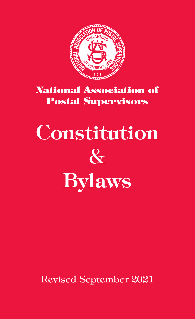

# National Association of Postal Supervisors

# **Constitution**  $\&$ Bylaws

Revised September 2021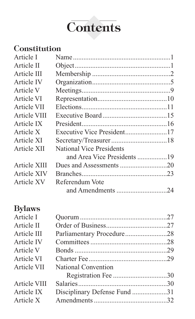

# **Constitution**

| Article I    |                                 |  |
|--------------|---------------------------------|--|
| Article II   |                                 |  |
| Article III  |                                 |  |
| Article IV   |                                 |  |
| Article V    |                                 |  |
| Article VI   |                                 |  |
| Article VII  |                                 |  |
| Article VIII |                                 |  |
| Article IX   |                                 |  |
| Article X    |                                 |  |
| Article XI   |                                 |  |
| Article XII  | <b>National Vice Presidents</b> |  |
|              |                                 |  |
| Article XIII |                                 |  |
| Article XIV  |                                 |  |
| Article XV   | Referendum Vote                 |  |
|              |                                 |  |
|              |                                 |  |

# Bylaws

| Article I    |                              |  |
|--------------|------------------------------|--|
| Article II   |                              |  |
| Article III  |                              |  |
| Article IV   |                              |  |
| Article V    |                              |  |
| Article VI   |                              |  |
| Article VII  | National Convention          |  |
|              |                              |  |
| Article VIII |                              |  |
| Article IX   | Disciplinary Defense Fund 31 |  |
| Article X    |                              |  |
|              |                              |  |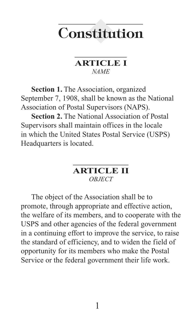# **Constitution**

### **ARTICLE I** *NAME*

**Section 1.** The Association, organized September 7, 1908, shall be known as the National Association of Postal Supervisors (NAPS).

**Section 2.** The National Association of Postal Supervisors shall maintain offices in the locale in which the United States Postal Service (USPS) Headquarters is located.

# **ARTICLE II** *OBJECT*

The object of the Association shall be to promote, through appropriate and effective action, the welfare of its members, and to cooperate with the USPS and other agencies of the federal government in a continuing effort to improve the service, to raise the standard of efficiency, and to widen the field of opportunity for its members who make the Postal Service or the federal government their life work.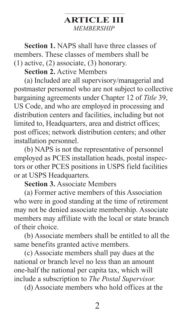# **ARTICLE III** *MEMBERSHIP*

**Section 1.** NAPS shall have three classes of members. These classes of members shall be (1) active, (2) associate, (3) honorary.

**Section 2.** Active Members

(a) Included are all supervisory/managerial and postmaster personnel who are not subject to collective bargaining agreements under Chapter 12 of *Title* 39, US Code, and who are employed in processing and distribution centers and facilities, including but not limited to, Headquarters, area and district offices; post offices; network distribution centers; and other installation personnel.

(b) NAPS is not the representative of personnel employed as PCES installation heads, postal inspectors or other PCES positions in USPS field facilities or at USPS Headquarters.

**Section 3.** Associate Members

(a) Former active members of this Association who were in good standing at the time of retirement may not be denied associate membership. Associate members may affiliate with the local or state branch of their choice.

(b) Associate members shall be entitled to all the same benefits granted active members.

(c) Associate members shall pay dues at the national or branch level no less than an amount one-half the national per capita tax, which will include a subscription to *The Postal Supervisor.*

(d) Associate members who hold offices at the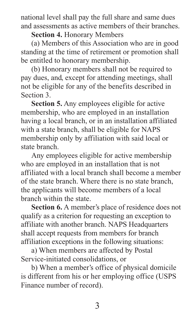national level shall pay the full share and same dues and assessments as active members of their branches.

**Section 4.** Honorary Members

(a) Members of this Association who are in good standing at the time of retirement or promotion shall be entitled to honorary membership.

(b) Honorary members shall not be required to pay dues, and, except for attending meetings, shall not be eligible for any of the benefits described in Section 3.

**Section 5.** Any employees eligible for active membership, who are employed in an installation having a local branch, or in an installation affiliated with a state branch, shall be eligible for NAPS membership only by affiliation with said local or state branch.

Any employees eligible for active membership who are employed in an installation that is not affiliated with a local branch shall become a member of the state branch. Where there is no state branch, the applicants will become members of a local branch within the state.

**Section 6.** A member's place of residence does not qualify as a criterion for requesting an exception to affiliate with another branch. NAPS Headquarters shall accept requests from members for branch affiliation exceptions in the following situations:

a) When members are affected by Postal Service-initiated consolidations, or

b) When a member's office of physical domicile is different from his or her employing office (USPS Finance number of record).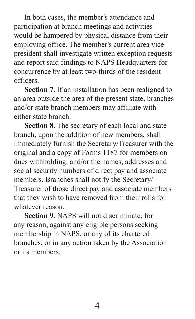In both cases, the member's attendance and participation at branch meetings and activities would be hampered by physical distance from their employing office. The member's current area vice president shall investigate written exception requests and report said findings to NAPS Headquarters for concurrence by at least two-thirds of the resident officers.

**Section 7.** If an installation has been realigned to an area outside the area of the present state, branches and/or state branch members may affiliate with either state branch.

**Section 8.** The secretary of each local and state branch, upon the addition of new members, shall immediately furnish the Secretary/Treasurer with the original and a copy of Forms 1187 for members on dues withholding, and/or the names, addresses and social security numbers of direct pay and associate members. Branches shall notify the Secretary/ Treasurer of those direct pay and associate members that they wish to have removed from their rolls for whatever reason.

**Section 9.** NAPS will not discriminate, for any reason, against any eligible persons seeking membership in NAPS, or any of its chartered branches, or in any action taken by the Association or its members.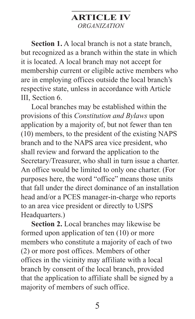# **ARTICLE IV** *ORGANIZATION*

**Section 1.** A local branch is not a state branch, but recognized as a branch within the state in which it is located. A local branch may not accept for membership current or eligible active members who are in employing offices outside the local branch's respective state, unless in accordance with Article III, Section 6.

Local branches may be established within the provisions of this *Constitution and Bylaws* upon application by a majority of, but not fewer than ten (10) members, to the president of the existing NAPS branch and to the NAPS area vice president, who shall review and forward the application to the Secretary/Treasurer, who shall in turn issue a charter. An office would be limited to only one charter. (For purposes here, the word "office" means those units that fall under the direct dominance of an installation head and/or a PCES manager-in-charge who reports to an area vice president or directly to USPS Headquarters.)

**Section 2.** Local branches may likewise be formed upon application of ten (10) or more members who constitute a majority of each of two (2) or more post offices. Members of other offices in the vicinity may affiliate with a local branch by consent of the local branch, provided that the application to affiliate shall be signed by a majority of members of such office.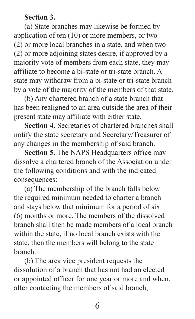#### **Section 3.**

(a) State branches may likewise be formed by application of ten (10) or more members, or two (2) or more local branches in a state, and when two (2) or more adjoining states desire, if approved by a majority vote of members from each state, they may affiliate to become a bi-state or tri-state branch. A state may withdraw from a bi-state or tri-state branch by a vote of the majority of the members of that state.

(b) Any chartered branch of a state branch that has been realigned to an area outside the area of their present state may affiliate with either state.

**Section 4.** Secretaries of chartered branches shall notify the state secretary and Secretary/Treasurer of any changes in the membership of said branch.

**Section 5.** The NAPS Headquarters office may dissolve a chartered branch of the Association under the following conditions and with the indicated consequences:

(a) The membership of the branch falls below the required minimum needed to charter a branch and stays below that minimum for a period of six (6) months or more. The members of the dissolved branch shall then be made members of a local branch within the state, if no local branch exists with the state, then the members will belong to the state branch.

(b) The area vice president requests the dissolution of a branch that has not had an elected or appointed officer for one year or more and when, after contacting the members of said branch,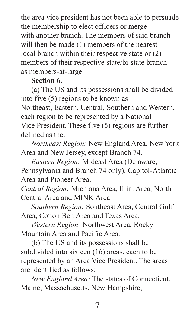the area vice president has not been able to persuade the membership to elect officers or merge with another branch. The members of said branch will then be made (1) members of the nearest local branch within their respective state or (2) members of their respective state/bi-state branch as members-at-large.

# **Section 6.**

(a) The US and its possessions shall be divided into five (5) regions to be known as Northeast, Eastern, Central, Southern and Western, each region to be represented by a National Vice President. These five (5) regions are further defined as the:

*Northeast Region:* New England Area, New York Area and New Jersey, except Branch 74.

*Eastern Region:* Mideast Area (Delaware, Pennsylvania and Branch 74 only), Capitol-Atlantic Area and Pioneer Area.

*Central Region:* Michiana Area, Illini Area, North Central Area and MINK Area.

*Southern Region:* Southeast Area, Central Gulf Area, Cotton Belt Area and Texas Area.

*Western Region:* Northwest Area, Rocky Mountain Area and Pacific Area.

(b) The US and its possessions shall be subdivided into sixteen (16) areas, each to be represented by an Area Vice President. The areas are identified as follows:

*New England Area:* The states of Connecticut, Maine, Massachusetts, New Hampshire,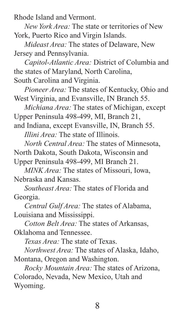Rhode Island and Vermont.

*New York Area:* The state or territories of New York, Puerto Rico and Virgin Islands.

*Mideast Area:* The states of Delaware, New Jersey and Pennsylvania.

*Capitol-Atlantic Area:* District of Columbia and the states of Maryland, North Carolina, South Carolina and Virginia.

*Pioneer Area:* The states of Kentucky, Ohio and West Virginia, and Evansville, IN Branch 55.

*Michiana Area:* The states of Michigan, except Upper Peninsula 498-499, MI, Branch 21, and Indiana, except Evansville, IN, Branch 55.

*Illini Area:* The state of Illinois.

*North Central Area:* The states of Minnesota, North Dakota, South Dakota, Wisconsin and Upper Peninsula 498-499, MI Branch 21.

*MINK Area:* The states of Missouri, Iowa, Nebraska and Kansas.

*Southeast Area:* The states of Florida and Georgia.

*Central Gulf Area:* The states of Alabama, Louisiana and Mississippi.

*Cotton Belt Area:* The states of Arkansas, Oklahoma and Tennessee.

*Texas Area:* The state of Texas.

*Northwest Area:* The states of Alaska, Idaho, Montana, Oregon and Washington.

*Rocky Mountain Area:* The states of Arizona, Colorado, Nevada, New Mexico, Utah and Wyoming.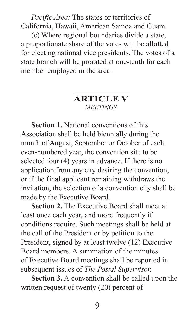*Pacific Area:* The states or territories of California, Hawaii, American Samoa and Guam.

(c) Where regional boundaries divide a state, a proportionate share of the votes will be allotted for electing national vice presidents. The votes of a state branch will be prorated at one-tenth for each member employed in the area.

# **ARTICLE V** *MEETINGS*

**Section 1.** National conventions of this Association shall be held biennially during the month of August, September or October of each even-numbered year, the convention site to be selected four (4) years in advance. If there is no application from any city desiring the convention, or if the final applicant remaining withdraws the invitation, the selection of a convention city shall be made by the Executive Board.

**Section 2.** The Executive Board shall meet at least once each year, and more frequently if conditions require. Such meetings shall be held at the call of the President or by petition to the President, signed by at least twelve (12) Executive Board members. A summation of the minutes of Executive Board meetings shall be reported in subsequent issues of *The Postal Supervisor.*

**Section 3.** A convention shall be called upon the written request of twenty (20) percent of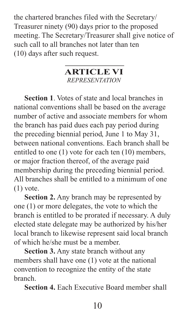the chartered branches filed with the Secretary/ Treasurer ninety (90) days prior to the proposed meeting. The Secretary/Treasurer shall give notice of such call to all branches not later than ten (10) days after such request.

### **ARTICLE VI** *REPRESENTATION*

**Section 1**. Votes of state and local branches in national conventions shall be based on the average number of active and associate members for whom the branch has paid dues each pay period during the preceding biennial period, June 1 to May 31, between national conventions. Each branch shall be entitled to one (1) vote for each ten (10) members, or major fraction thereof, of the average paid membership during the preceding biennial period. All branches shall be entitled to a minimum of one  $(1)$  vote.

**Section 2.** Any branch may be represented by one (1) or more delegates, the vote to which the branch is entitled to be prorated if necessary. A duly elected state delegate may be authorized by his/her local branch to likewise represent said local branch of which he/she must be a member.

**Section 3.** Any state branch without any members shall have one (1) vote at the national convention to recognize the entity of the state branch.

**Section 4.** Each Executive Board member shall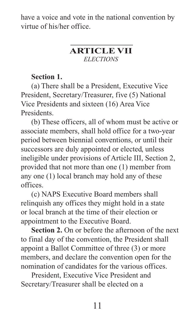have a voice and vote in the national convention by virtue of his/her office.

# **ARTICLE VII** *ELECTIONS*

# **Section 1.**

(a) There shall be a President, Executive Vice President, Secretary/Treasurer, five (5) National Vice Presidents and sixteen (16) Area Vice Presidents.

(b) These officers, all of whom must be active or associate members, shall hold office for a two-year period between biennial conventions, or until their successors are duly appointed or elected, unless ineligible under provisions of Article III, Section 2, provided that not more than one (1) member from any one (1) local branch may hold any of these offices.

(c) NAPS Executive Board members shall relinquish any offices they might hold in a state or local branch at the time of their election or appointment to the Executive Board.

**Section 2.** On or before the afternoon of the next to final day of the convention, the President shall appoint a Ballot Committee of three (3) or more members, and declare the convention open for the nomination of candidates for the various offices.

President, Executive Vice President and Secretary/Treasurer shall be elected on a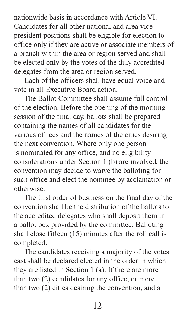nationwide basis in accordance with Article VI. Candidates for all other national and area vice president positions shall be eligible for election to office only if they are active or associate members of a branch within the area or region served and shall be elected only by the votes of the duly accredited delegates from the area or region served.

Each of the officers shall have equal voice and vote in all Executive Board action.

The Ballot Committee shall assume full control of the election. Before the opening of the morning session of the final day, ballots shall be prepared containing the names of all candidates for the various offices and the names of the cities desiring the next convention. Where only one person is nominated for any office, and no eligibility considerations under Section 1 (b) are involved, the convention may decide to waive the balloting for such office and elect the nominee by acclamation or otherwise.

The first order of business on the final day of the convention shall be the distribution of the ballots to the accredited delegates who shall deposit them in a ballot box provided by the committee. Balloting shall close fifteen (15) minutes after the roll call is completed.

The candidates receiving a majority of the votes cast shall be declared elected in the order in which they are listed in Section 1 (a). If there are more than two (2) candidates for any office, or more than two (2) cities desiring the convention, and a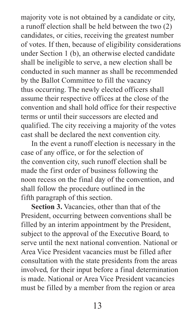majority vote is not obtained by a candidate or city, a runoff election shall be held between the two (2) candidates, or cities, receiving the greatest number of votes. If then, because of eligibility considerations under Section 1 (b), an otherwise elected candidate shall be ineligible to serve, a new election shall be conducted in such manner as shall be recommended by the Ballot Committee to fill the vacancy thus occurring. The newly elected officers shall assume their respective offices at the close of the convention and shall hold office for their respective terms or until their successors are elected and qualified. The city receiving a majority of the votes cast shall be declared the next convention city.

In the event a runoff election is necessary in the case of any office, or for the selection of the convention city, such runoff election shall be made the first order of business following the noon recess on the final day of the convention, and shall follow the procedure outlined in the fifth paragraph of this section.

**Section 3.** Vacancies, other than that of the President, occurring between conventions shall be filled by an interim appointment by the President, subject to the approval of the Executive Board, to serve until the next national convention. National or Area Vice President vacancies must be filled after consultation with the state presidents from the areas involved, for their input before a final determination is made. National or Area Vice President vacancies must be filled by a member from the region or area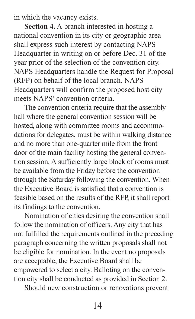in which the vacancy exists.

**Section 4.** A branch interested in hosting a national convention in its city or geographic area shall express such interest by contacting NAPS Headquarter in writing on or before Dec. 31 of the year prior of the selection of the convention city. NAPS Headquarters handle the Request for Proposal (RFP) on behalf of the local branch. NAPS Headquarters will confirm the proposed host city meets NAPS' convention criteria.

The convention criteria require that the assembly hall where the general convention session will be hosted, along with committee rooms and accommodations for delegates, must be within walking distance and no more than one-quarter mile from the front door of the main facility hosting the general convention session. A sufficiently large block of rooms must be available from the Friday before the convention through the Saturday following the convention. When the Executive Board is satisfied that a convention is feasible based on the results of the RFP, it shall report its findings to the convention.

Nomination of cities desiring the convention shall follow the nomination of officers. Any city that has not fulfilled the requirements outlined in the preceding paragraph concerning the written proposals shall not be eligible for nomination. In the event no proposals are acceptable, the Executive Board shall be empowered to select a city. Balloting on the convention city shall be conducted as provided in Section 2.

Should new construction or renovations prevent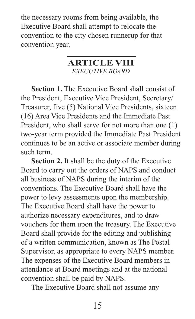the necessary rooms from being available, the Executive Board shall attempt to relocate the convention to the city chosen runnerup for that convention year.

# **ARTICLE VIII**

*EXECUTIVE BOARD*

**Section 1.** The Executive Board shall consist of the President, Executive Vice President, Secretary/ Treasurer, five (5) National Vice Presidents, sixteen (16) Area Vice Presidents and the Immediate Past President, who shall serve for not more than one (1) two-year term provided the Immediate Past President continues to be an active or associate member during such term.

**Section 2.** It shall be the duty of the Executive Board to carry out the orders of NAPS and conduct all business of NAPS during the interim of the conventions. The Executive Board shall have the power to levy assessments upon the membership. The Executive Board shall have the power to authorize necessary expenditures, and to draw vouchers for them upon the treasury. The Executive Board shall provide for the editing and publishing of a written communication, known as The Postal Supervisor, as appropriate to every NAPS member. The expenses of the Executive Board members in attendance at Board meetings and at the national convention shall be paid by NAPS.

The Executive Board shall not assume any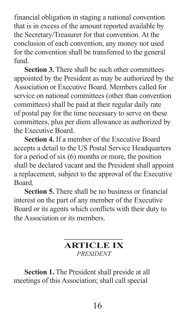financial obligation in staging a national convention that is in excess of the amount reported available by the Secretary/Treasurer for that convention. At the conclusion of each convention, any money not used for the convention shall be transferred to the general fund.

**Section 3.** There shall be such other committees appointed by the President as may be authorized by the Association or Executive Board. Members called for service on national committees (other than convention committees) shall be paid at their regular daily rate of postal pay for the time necessary to serve on these committees, plus per diem allowance as authorized by the Executive Board.

**Section 4.** If a member of the Executive Board accepts a detail to the US Postal Service Headquarters for a period of six (6) months or more, the position shall be declared vacant and the President shall appoint a replacement, subject to the approval of the Executive Board.

**Section 5.** There shall be no business or financial interest on the part of any member of the Executive Board or its agents which conflicts with their duty to the Association or its members.

# **ARTICLE IX** *PRESIDENT*

**Section 1.** The President shall preside at all meetings of this Association; shall call special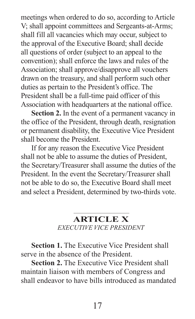meetings when ordered to do so, according to Article V; shall appoint committees and Sergeants-at-Arms; shall fill all vacancies which may occur, subject to the approval of the Executive Board; shall decide all questions of order (subject to an appeal to the convention); shall enforce the laws and rules of the Association; shall approve/disapprove all vouchers drawn on the treasury, and shall perform such other duties as pertain to the President's office. The President shall be a full-time paid officer of this Association with headquarters at the national office.

**Section 2.** In the event of a permanent vacancy in the office of the President, through death, resignation or permanent disability, the Executive Vice President shall become the President.

If for any reason the Executive Vice President shall not be able to assume the duties of President, the Secretary/Treasurer shall assume the duties of the President. In the event the Secretary/Treasurer shall not be able to do so, the Executive Board shall meet and select a President, determined by two-thirds vote.

# **ARTICLE X**

*EXECUTIVE VICE PRESIDENT*

**Section 1.** The Executive Vice President shall serve in the absence of the President.

**Section 2.** The Executive Vice President shall maintain liaison with members of Congress and shall endeavor to have bills introduced as mandated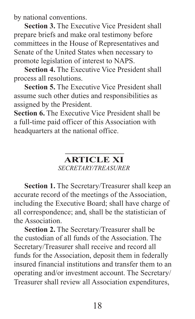by national conventions.

**Section 3.** The Executive Vice President shall prepare briefs and make oral testimony before committees in the House of Representatives and Senate of the United States when necessary to promote legislation of interest to NAPS.

**Section 4.** The Executive Vice President shall process all resolutions.

**Section 5.** The Executive Vice President shall assume such other duties and responsibilities as assigned by the President.

**Section 6.** The Executive Vice President shall be a full-time paid officer of this Association with headquarters at the national office.

# **ARTICLE XI**

#### *SECRETARY/TREASURER*

**Section 1.** The Secretary/Treasurer shall keep an accurate record of the meetings of the Association, including the Executive Board; shall have charge of all correspondence; and, shall be the statistician of the Association.

**Section 2.** The Secretary/Treasurer shall be the custodian of all funds of the Association. The Secretary/Treasurer shall receive and record all funds for the Association, deposit them in federally insured financial institutions and transfer them to an operating and/or investment account. The Secretary/ Treasurer shall review all Association expenditures,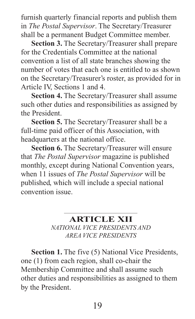furnish quarterly financial reports and publish them in *The Postal Supervisor*. The Secretary/Treasurer shall be a permanent Budget Committee member.

**Section 3.** The Secretary/Treasurer shall prepare for the Credentials Committee at the national convention a list of all state branches showing the number of votes that each one is entitled to as shown on the Secretary/Treasurer's roster, as provided for in Article IV, Sections 1 and 4.

**Section 4.** The Secretary/Treasurer shall assume such other duties and responsibilities as assigned by the President.

**Section 5.** The Secretary/Treasurer shall be a full-time paid officer of this Association, with headquarters at the national office.

**Section 6.** The Secretary/Treasurer will ensure that *The Postal Supervisor* magazine is published monthly, except during National Convention years, when 11 issues of *The Postal Supervisor* will be published, which will include a special national convention issue.

# **ARTICLE XII**

*NATIONAL VICE PRESIDENTS AND AREA VICE PRESIDENTS*

**Section 1.** The five (5) National Vice Presidents, one (1) from each region, shall co-chair the Membership Committee and shall assume such other duties and responsibilities as assigned to them by the President.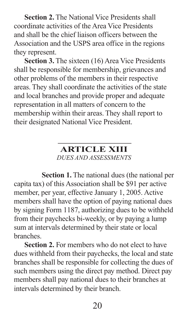**Section 2.** The National Vice Presidents shall coordinate activities of the Area Vice Presidents and shall be the chief liaison officers between the Association and the USPS area office in the regions they represent.

**Section 3.** The sixteen (16) Area Vice Presidents shall be responsible for membership, grievances and other problems of the members in their respective areas. They shall coordinate the activities of the state and local branches and provide proper and adequate representation in all matters of concern to the membership within their areas. They shall report to their designated National Vice President.

> **ARTICLE XIII** *DUES AND ASSESSMENTS*

**Section 1.** The national dues (the national per capita tax) of this Association shall be \$91 per active member, per year, effective January 1, 2005. Active members shall have the option of paying national dues by signing Form 1187, authorizing dues to be withheld from their paychecks bi-weekly, or by paying a lump sum at intervals determined by their state or local branches.

**Section 2.** For members who do not elect to have dues withheld from their paychecks, the local and state branches shall be responsible for collecting the dues of such members using the direct pay method. Direct pay members shall pay national dues to their branches at intervals determined by their branch.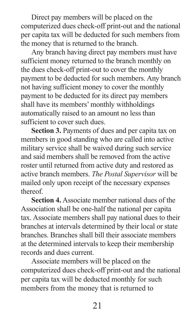Direct pay members will be placed on the computerized dues check-off print-out and the national per capita tax will be deducted for such members from the money that is returned to the branch.

Any branch having direct pay members must have sufficient money returned to the branch monthly on the dues check-off print-out to cover the monthly payment to be deducted for such members. Any branch not having sufficient money to cover the monthly payment to be deducted for its direct pay members shall have its members' monthly withholdings automatically raised to an amount no less than sufficient to cover such dues.

**Section 3.** Payments of dues and per capita tax on members in good standing who are called into active military service shall be waived during such service and said members shall be removed from the active roster until returned from active duty and restored as active branch members. *The Postal Supervisor* will be mailed only upon receipt of the necessary expenses thereof.

**Section 4.** Associate member national dues of the Association shall be one-half the national per capita tax. Associate members shall pay national dues to their branches at intervals determined by their local or state branches. Branches shall bill their associate members at the determined intervals to keep their membership records and dues current.

Associate members will be placed on the computerized dues check-off print-out and the national per capita tax will be deducted monthly for such members from the money that is returned to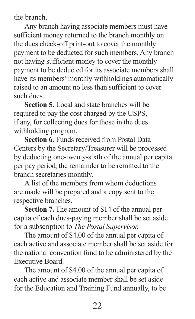the branch.

Any branch having associate members must have sufficient money returned to the branch monthly on the dues check-off print-out to cover the monthly payment to be deducted for such members. Any branch not having sufficient money to cover the monthly payment to be deducted for its associate members shall have its members' monthly withholdings automatically raised to an amount no less than sufficient to cover such dues.

**Section 5.** Local and state branches will be required to pay the cost charged by the USPS, if any, for collecting dues for those in the dues withholding program.

**Section 6.** Funds received from Postal Data Centers by the Secretary/Treasurer will be processed by deducting one-twenty-sixth of the annual per capita per pay period, the remainder to be remitted to the branch secretaries monthly.

A list of the members from whom deductions are made will be prepared and a copy sent to the respective branches.

**Section 7.** The amount of \$14 of the annual per capita of each dues-paying member shall be set aside for a subscription to *The Postal Supervisor.*

The amount of \$4.00 of the annual per capita of each active and associate member shall be set aside for the national convention fund to be administered by the Executive Board.

The amount of \$4.00 of the annual per capita of each active and associate member shall be set aside for the Education and Training Fund annually, to be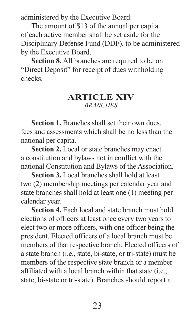administered by the Executive Board.

The amount of \$13 of the annual per capita of each active member shall be set aside for the Disciplinary Defense Fund (DDF), to be administered by the Executive Board.

**Section 8.** All branches are required to be on "Direct Deposit" for receipt of dues withholding checks.

# **ARTICLE XIV** *BRANCHES*

**Section 1.** Branches shall set their own dues, fees and assessments which shall be no less than the national per capita.

**Section 2.** Local or state branches may enact a constitution and bylaws not in conflict with the national Constitution and Bylaws of the Association.

**Section 3.** Local branches shall hold at least two (2) membership meetings per calendar year and state branches shall hold at least one (1) meeting per calendar year.

**Section 4.** Each local and state branch must hold elections of officers at least once every two years to elect two or more officers, with one officer being the president. Elected officers of a local branch must be members of that respective branch. Elected officers of a state branch (i.e., state, bi-state, or tri-state) must be members of the respective state branch or a member affiliated with a local branch within that state (i.e., state, bi-state or tri-state). Branches should report a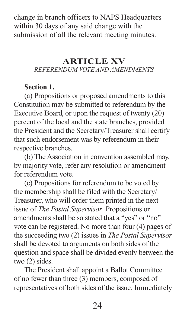change in branch officers to NAPS Headquarters within 30 days of any said change with the submission of all the relevant meeting minutes.

# **ARTICLE XV** *REFERENDUM VOTE AND AMENDMENTS*

# **Section 1.**

(a) Propositions or proposed amendments to this Constitution may be submitted to referendum by the Executive Board, or upon the request of twenty (20) percent of the local and the state branches, provided the President and the Secretary/Treasurer shall certify that such endorsement was by referendum in their respective branches.

(b) The Association in convention assembled may, by majority vote, refer any resolution or amendment for referendum vote.

(c) Propositions for referendum to be voted by the membership shall be filed with the Secretary/ Treasurer, who will order them printed in the next issue of *The Postal Supervisor*. Propositions or amendments shall be so stated that a "yes" or "no" vote can be registered. No more than four (4) pages of the succeeding two (2) issues in *The Postal Supervisor*  shall be devoted to arguments on both sides of the question and space shall be divided evenly between the two (2) sides.

The President shall appoint a Ballot Committee of no fewer than three (3) members, composed of representatives of both sides of the issue. Immediately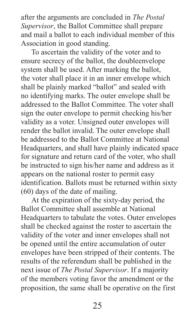after the arguments are concluded in *The Postal Supervisor*, the Ballot Committee shall prepare and mail a ballot to each individual member of this Association in good standing.

To ascertain the validity of the voter and to ensure secrecy of the ballot, the doubleenvelope system shall be used. After marking the ballot, the voter shall place it in an inner envelope which shall be plainly marked "ballot" and sealed with no identifying marks. The outer envelope shall be addressed to the Ballot Committee. The voter shall sign the outer envelope to permit checking his/her validity as a voter. Unsigned outer envelopes will render the ballot invalid. The outer envelope shall be addressed to the Ballot Committee at National Headquarters, and shall have plainly indicated space for signature and return card of the voter, who shall be instructed to sign his/her name and address as it appears on the national roster to permit easy identification. Ballots must be returned within sixty (60) days of the date of mailing.

At the expiration of the sixty-day period, the Ballot Committee shall assemble at National Headquarters to tabulate the votes. Outer envelopes shall be checked against the roster to ascertain the validity of the voter and inner envelopes shall not be opened until the entire accumulation of outer envelopes have been stripped of their contents. The results of the referendum shall be published in the next issue of *The Postal Supervisor*. If a majority of the members voting favor the amendment or the proposition, the same shall be operative on the first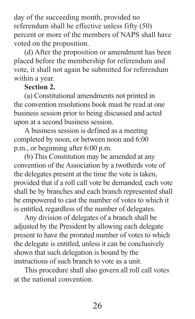day of the succeeding month, provided no referendum shall be effective unless fifty (50) percent or more of the members of NAPS shall have voted on the proposition.

(d) After the proposition or amendment has been placed before the membership for referendum and vote, it shall not again be submitted for referendum within a year.

# **Section 2.**

(a) Constitutional amendments not printed in the convention resolutions book must be read at one business session prior to being discussed and acted upon at a second business session.

A business session is defined as a meeting completed by noon, or between noon and 6:00 p.m., or beginning after 6:00 p.m.

(b) This Constitution may be amended at any convention of the Association by a twothirds vote of the delegates present at the time the vote is taken, provided that if a roll call vote be demanded, each vote shall be by branches and each branch represented shall be empowered to cast the number of votes to which it is entitled, regardless of the number of delegates.

Any division of delegates of a branch shall be adjusted by the President by allowing each delegate present to have the prorated number of votes to which the delegate is entitled, unless it can be conclusively shown that such delegation is bound by the instructions of such branch to vote as a unit.

This procedure shall also govern all roll call votes at the national convention.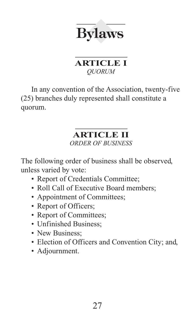

# **ARTICLE I** *QUORUM*

In any convention of the Association, twenty-five (25) branches duly represented shall constitute a quorum.

#### **ARTICLE II** *ORDER OF BUSINESS*

The following order of business shall be observed, unless varied by vote:

- Report of Credentials Committee;
- Roll Call of Executive Board members:
- Appointment of Committees;
- Report of Officers;
- Report of Committees;
- Unfinished Business;
- New Business:
- Election of Officers and Convention City; and,
- Adjournment.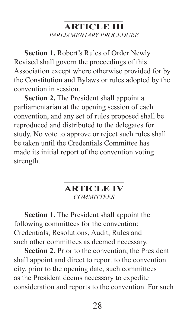# **ARTICLE III** *PARLIAMENTARY PROCEDURE*

**Section 1.** Robert's Rules of Order Newly Revised shall govern the proceedings of this Association except where otherwise provided for by the Constitution and Bylaws or rules adopted by the convention in session.

**Section 2.** The President shall appoint a parliamentarian at the opening session of each convention, and any set of rules proposed shall be reproduced and distributed to the delegates for study. No vote to approve or reject such rules shall be taken until the Credentials Committee has made its initial report of the convention voting strength.

# **ARTICLE IV** *COMMITTEES*

**Section 1.** The President shall appoint the following committees for the convention: Credentials, Resolutions, Audit, Rules and such other committees as deemed necessary.

**Section 2.** Prior to the convention, the President shall appoint and direct to report to the convention city, prior to the opening date, such committees as the President deems necessary to expedite consideration and reports to the convention. For such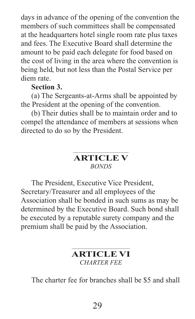days in advance of the opening of the convention the members of such committees shall be compensated at the headquarters hotel single room rate plus taxes and fees. The Executive Board shall determine the amount to be paid each delegate for food based on the cost of living in the area where the convention is being held, but not less than the Postal Service per diem rate.

### **Section 3.**

(a) The Sergeants-at-Arms shall be appointed by the President at the opening of the convention.

(b) Their duties shall be to maintain order and to compel the attendance of members at sessions when directed to do so by the President.

# **ARTICLE V** *BONDS*

The President, Executive Vice President, Secretary/Treasurer and all employees of the Association shall be bonded in such sums as may be determined by the Executive Board. Such bond shall be executed by a reputable surety company and the premium shall be paid by the Association.

# **ARTICLE VI** *CHARTER FEE*

The charter fee for branches shall be \$5 and shall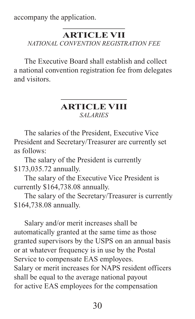accompany the application.

#### **ARTICLE VII** *NATIONAL CONVENTION REGISTRATION FEE*

The Executive Board shall establish and collect a national convention registration fee from delegates and visitors.

### **ARTICLE VIII** *SALARIES*

The salaries of the President, Executive Vice President and Secretary/Treasurer are currently set as follows:

The salary of the President is currently \$173,035.72 annually.

The salary of the Executive Vice President is currently \$164,738.08 annually.

The salary of the Secretary/Treasurer is currently \$164,738.08 annually.

Salary and/or merit increases shall be automatically granted at the same time as those granted supervisors by the USPS on an annual basis or at whatever frequency is in use by the Postal Service to compensate EAS employees. Salary or merit increases for NAPS resident officers shall be equal to the average national payout for active EAS employees for the compensation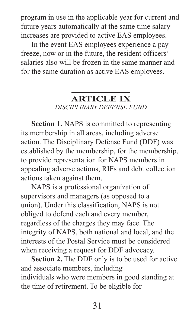program in use in the applicable year for current and future years automatically at the same time salary increases are provided to active EAS employees.

In the event EAS employees experience a pay freeze, now or in the future, the resident officers' salaries also will be frozen in the same manner and for the same duration as active EAS employees.

# **ARTICLE IX** *DISCIPLINARY DEFENSE FUND*

**Section 1.** NAPS is committed to representing its membership in all areas, including adverse action. The Disciplinary Defense Fund (DDF) was established by the membership, for the membership, to provide representation for NAPS members in appealing adverse actions, RIFs and debt collection actions taken against them.

NAPS is a professional organization of supervisors and managers (as opposed to a union). Under this classification, NAPS is not obliged to defend each and every member, regardless of the charges they may face. The integrity of NAPS, both national and local, and the interests of the Postal Service must be considered when receiving a request for DDF advocacy.

**Section 2.** The DDF only is to be used for active and associate members, including individuals who were members in good standing at the time of retirement. To be eligible for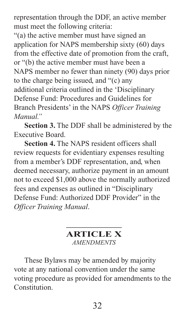representation through the DDF, an active member must meet the following criteria:

"(a) the active member must have signed an application for NAPS membership sixty (60) days from the effective date of promotion from the craft, or "(b) the active member must have been a NAPS member no fewer than ninety (90) days prior to the charge being issued, and "(c) any additional criteria outlined in the 'Disciplinary Defense Fund: Procedures and Guidelines for Branch Presidents' in the NAPS *Officer Training Manual."*

**Section 3.** The DDF shall be administered by the Executive Board.

**Section 4.** The NAPS resident officers shall review requests for evidentiary expenses resulting from a member's DDF representation, and, when deemed necessary, authorize payment in an amount not to exceed \$1,000 above the normally authorized fees and expenses as outlined in "Disciplinary Defense Fund: Authorized DDF Provider" in the *Officer Training Manual*.

# **ARTICLE X** *AMENDMENTS*

These Bylaws may be amended by majority vote at any national convention under the same voting procedure as provided for amendments to the Constitution.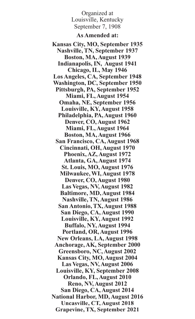Organized at Louisville, Kentucky September 7, 1908

#### **As Amended at:**

**Kansas City, MO, September 1935 Nashville, TN, September 1937 Boston, MA, August 1939 Indianapolis, IN, August 1941 Chicago, IL, May 1946 Los Angeles, CA, September 1948 Washington, DC, September 1950 Pittsburgh, PA, September 1952 Miami, FL, August 1954 Omaha, NE, September 1956 Louisville, KY, August 1958 Philadelphia, PA, August 1960 Denver, CO, August 1962 Miami, FL, August 1964 Boston, MA, August 1966 San Francisco, CA, August 1968 Cincinnati, OH, August 1970 Phoenix, AZ, August 1972 Atlanta, GA, August 1974 St. Louis, MO, August 1976 Milwaukee, WI, August 1978 Denver, CO, August 1980 Las Vegas, NV, August 1982 Baltimore, MD, August 1984 Nashville, TN, August 1986 San Antonio, TX, August 1988 San Diego, CA, August 1990 Louisville, KY, August 1992 Buffalo, NY, August 1994 Portland, OR, August 1996 New Orleans, LA, August 1998 Anchorage, AK, September 2000 Greensboro, NC, August 2002 Kansas City, MO, August 2004 Las Vegas, NV, August 2006 Louisville, KY, September 2008 Orlando, FL, August 2010 Reno, NV, August 2012 San Diego, CA, August 2014 National Harbor, MD, August 2016 Uncasville, CT, August 2018 Grapevine, TX, September 2021**